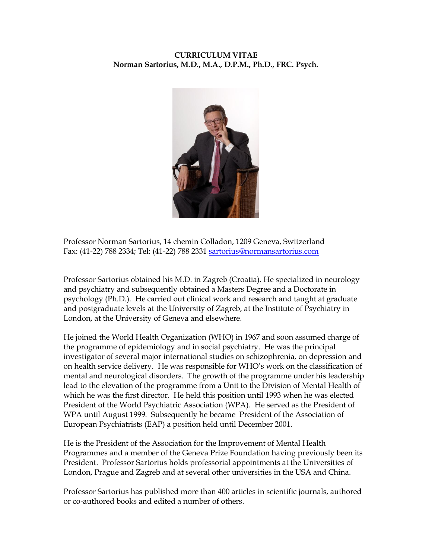## **CURRICULUM VITAE Norman Sartorius, M.D., M.A., D.P.M., Ph.D., FRC. Psych.**



Professor Norman Sartorius, 14 chemin Colladon, 1209 Geneva, Switzerland Fax: (41-22) 788 2334; Tel: (41-22) 788 2331 sartorius@normansartorius.com

Professor Sartorius obtained his M.D. in Zagreb (Croatia). He specialized in neurology and psychiatry and subsequently obtained a Masters Degree and a Doctorate in psychology (Ph.D.). He carried out clinical work and research and taught at graduate and postgraduate levels at the University of Zagreb, at the Institute of Psychiatry in London, at the University of Geneva and elsewhere.

He joined the World Health Organization (WHO) in 1967 and soon assumed charge of the programme of epidemiology and in social psychiatry. He was the principal investigator of several major international studies on schizophrenia, on depression and on health service delivery. He was responsible for WHO's work on the classification of mental and neurological disorders. The growth of the programme under his leadership lead to the elevation of the programme from a Unit to the Division of Mental Health of which he was the first director. He held this position until 1993 when he was elected President of the World Psychiatric Association (WPA). He served as the President of WPA until August 1999. Subsequently he became President of the Association of European Psychiatrists (EAP) a position held until December 2001.

He is the President of the Association for the Improvement of Mental Health Programmes and a member of the Geneva Prize Foundation having previously been its President. Professor Sartorius holds professorial appointments at the Universities of London, Prague and Zagreb and at several other universities in the USA and China.

Professor Sartorius has published more than 400 articles in scientific journals, authored or co-authored books and edited a number of others.